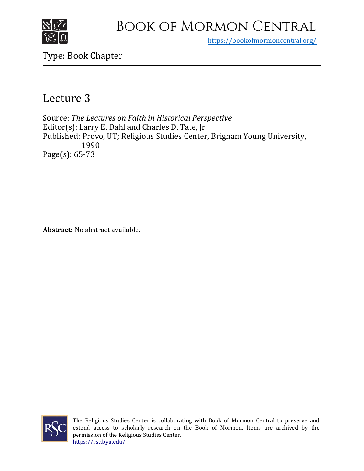

## Book of Mormon Central

https[://bookofmormoncentral.org/](https://bookofmormoncentral.org/)

Type: Book Chapter

## Lecture 3

Source: *The Lectures on Faith in Historical Perspective* Editor(s): Larry E. Dahl and Charles D. Tate, Jr. Published: Provo, UT; Religious Studies Center, Brigham Young University, 1990 Page(s): 65-73

**Abstract:** No abstract available.



The Religious Studies Center is collaborating with Book of Mormon Central to preserve and extend access to scholarly research on the Book of Mormon. Items are archived by the permission of the Religious Studies Center. <https://rsc.byu.edu/>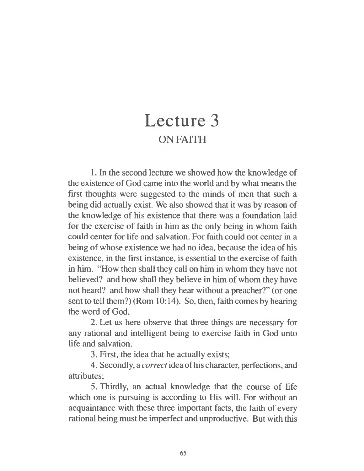## Lecture 3 ON FAITH

1. In the second lecture we showed how the knowledge of the existence of God came into the world and by what means the first thoughts were suggested to the minds of men that such a being did actually exist. We also showed that it was by reason of the knowledge of his existence that there was a foundation laid for the exercise of faith in him as the only being in whom faith could center for life and salvation. For faith could not center in a being of whose existence we had no idea, because the idea of his existence, in the first instance, is essential to the exercise of faith in him. "How then shall they call on him in whom they have not believed? and how shall they believe in him of whom they have not heard? and how shall they hear without a preacher?" (or one sent to tell them?) (Rom 10:14). So, then, faith comes by hearing the word of God.

2. Let us here observe that three things are necessary for any rational and intelligent being to exercise faith in God unto life and salvation.

3. First, the idea that he actually exists;

4. Secondly, a *correct* idea ofhis character, perfections, and attributes;

5. Thirdly, an actual knowledge that the course of life which one is pursuing is according to His will. For without an acquaintance with these three important facts, the faith of every rational being must be imperfect and unproductive. But with this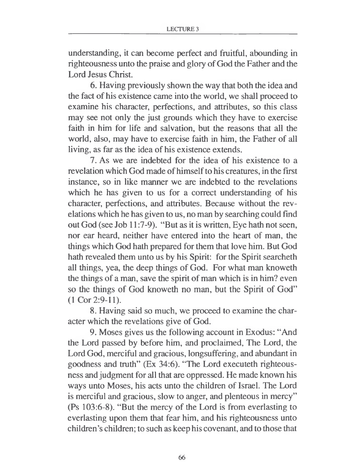understanding, it can become perfect and fruitful, abounding in righteousness unto the praise and glory of God the Father and the Lord Jesus Christ.

6. Having previously shown the way that both the idea and the fact of his existence came into the world, we shall proceed to examine his character, perfections, and attributes, so this class may see not only the just grounds which they have to exercise faith in him for life and salvation, but the reasons that all the world, also, may have to exercise faith in him, the Father of all living, as far as the idea of his existence extends.

7. As we are indebted for the idea of his existence to a revelation which God made of himself to his creatures, in the first instance, so in like manner we are indebted to the revelations which he has given to us for a correct understanding of his character, perfections, and attributes. Because without the revelations which he has given to us, no man by searching could find out God (see Job 11:7-9). "But as it is written, Eye hath not seen, nor ear heard, neither have entered into the heart of man, the things which God hath prepared for them that love him. But God hath revealed them unto us by his Spirit: for the Spirit searcheth all things, yea, the deep things of God. For what man knoweth the things of a man, save the spirit of man which is in him? even so the things of God knoweth no man, but the Spirit of God" (1 Cor 2:9-11).

8. Having said so much, we proceed to examine the character which the revelations give of God.

9. Moses gives us the following account in Exodus: "And the Lord passed by before him, and proclaimed, The Lord, the Lord God, merciful and gracious, longsuffering, and abundant in goodness and truth" (Ex 34:6). "The Lord executeth righteousness and judgment for all that are oppressed. He made known his ways unto Moses, his acts unto the children of Israel. The Lord is merciful and gracious, slow to anger, and plenteous in mercy" (Ps 103:6-8). "But the mercy of the Lord is from everlasting to everlasting upon them that fear him, and his righteousness unto children's children; to such as keep his covenant, and to those that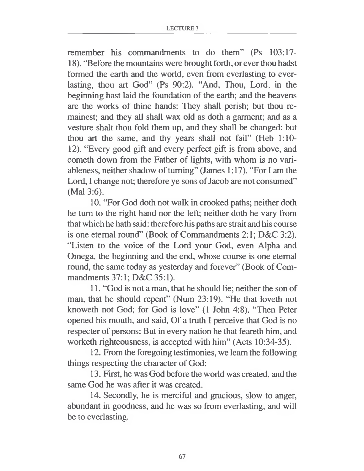remember his commandments to do them" (Ps 103:17- 18). "Before the mountains were brought forth, or ever thou hadst formed the earth and the world, even from everlasting to everlasting, thou art God" (Ps 90:2). "And, Thou, Lord, in the beginning hast laid the foundation of the earth; and the heavens are the works of thine hands: They shall perish; but thou remainest; and they all shall wax old as doth a garment; and as a vesture shalt thou fold them up, and they shall be changed: but thou art the same, and thy years shall not fail" (Heb 1:10- 12). "Every good gift and every perfect gift is from above, and cometh down from the Father of lights, with whom is no variableness, neither shadow of turning" (James 1:17). "For I am the Lord, I change not; therefore ye sons of Jacob are not consumed" (Mai 3:6).

10. "For God doth not walk in crooked paths; neither doth he turn to the right hand nor the left; neither doth he vary from that which he hath said: therefore his paths are strait and his course is one eternal round" (Book of Commandments 2:1; D&C 3:2). "Listen to the voice of the Lord your God, even Alpha and Omega, the beginning and the end, whose course is one eternal round, the same today as yesterday and forever" (Book of Commandments 37:1; D&C 35:1).

11. "God is not a man, that he should lie; neither the son of man, that he should repent" (Num 23:19). "He that loveth not knoweth not God; for God is love" (1 John 4:8). "Then Peter opened his mouth, and said, Of a truth I perceive that God is no respecter of persons: But in every nation he that feareth him, and worketh righteousness, is accepted with him" (Acts 10:34-35).

12. From the foregoing testimonies, we learn the following things respecting the character of God:

13. First, he was God before the world was created, and the same God he was after it was created.

14. Secondly, he is merciful and gracious, slow to anger, abundant in goodness, and he was so from everlasting, and will be to everlasting.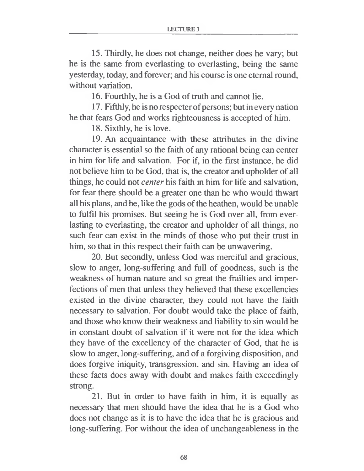15. Thirdly, he does not change, neither does he vary; but he is the same from everlasting to everlasting, being the same yesterday, today, and forever; and his course is one eternal round, without variation.

16. Fourthly, he is a God of truth and cannot lie.

17. Fifthly, he is no respecter of persons; but in every nation he that fears God and works righteousness is accepted of him.

18. Sixthly, he is love.

19. An acquaintance with these attributes in the divine character is essential so the faith of any rational being can center in him for life and salvation. For if, in the first instance, he did not believe him to be God, that is, the creator and upholder of all things, he could not *center* his faith in him for life and salvation, for fear there should be a greater one than he who would thwart all his plans, and he, like the gods of the heathen, would be unable to fulfil his promises. But seeing he is God over all, from everlasting to everlasting, the creator and upholder of all things, no such fear can exist in the minds of those who put their trust in him, so that in this respect their faith can be unwavering.

20. But secondly, unless God was merciful and gracious, slow to anger, long-suffering and full of goodness, such is the weakness of human nature and so great the frailties and imperfections of men that unless they believed that these excellencies existed in the divine character, they could not have the faith necessary to salvation. For doubt would take the place of faith, and those who know their weakness and liability to sin would be in constant doubt of salvation if it were not for the idea which they have of the excellency of the character of God, that he is slow to anger, long-suffering, and of a forgiving disposition, and does forgive iniquity, transgression, and sin. Having an idea of these facts does away with doubt and makes faith exceedingly strong.

21. But in order to have faith in him, it is equally as necessary that men should have the idea that he is a God who does not change as it is to have the idea that he is gracious and long-suffering. For without the idea of unchangeableness in the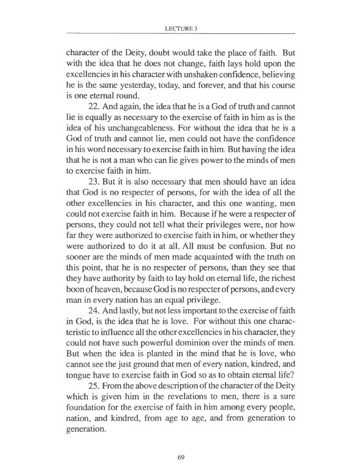character of the Deity, doubt would take the place of faith. But with the idea that he does not change, faith lays hold upon the excellencies in his character with unshaken confidence, believing he is the same yesterday, today, and forever, and that his course is one eternal round.

22. And again, the idea that he is a God of truth and cannot lie is equally as necessary to the exercise of faith in him as is the idea of his unchangeableness. For without the idea that he is a God of truth and cannot lie, men could not have the confidence in his word necessary to exercise faith in him. But having the idea that he is not a man who can lie gives power to the minds of men to exercise faith in him.

23. But it is also necessary that men should have an idea that God is no respecter of persons, for with the idea of all the other excellencies in his character, and this one wanting, men could not exercise faith in him. Because if he were a respecter of persons, they could not tell what their privileges were, nor how far they were authorized to exercise faith in him, or whether they were authorized to do it at all. All must be confusion. But no sooner are the minds of men made acquainted with the truth on this point, that he is no respecter of persons, than they see that they have authority by faith to lay hold on eternal life, the richest boon of heaven, because God is no respecter of persons, and every man in every nation has an equal privilege.

24. And lastly, but not less important to the exercise of faith in God, is the idea that he is love. For without this one characteristic to influence all the other excellencies in his character, they could not have such powerful dominion over the minds of men. But when the idea is planted in the mind that he is love, who cannot see the just ground that men of every nation, kindred, and tongue have to exercise faith in God so as to obtain eternal life?

25. From the above description of the character of the Deity which is given him in the revelations to men, there is a sure foundation for the exercise of faith in him among every people, nation, and kindred, from age to age, and from generation to generation.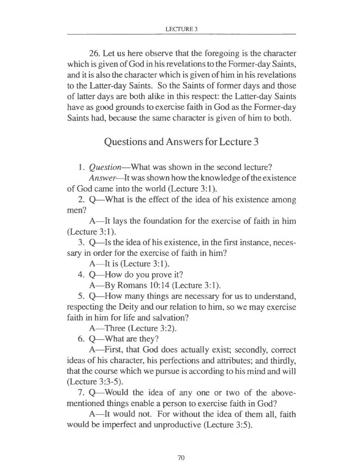26. Let us here observe that the foregoing is the character which is given of God in his revelations to the Former-day Saints, and it is also the character which is given of him in his revelations to the Latter-day Saints. So the Saints of former days and those of latter days are both alike in this respect: the Latter-day Saints have as good grounds to exercise faith in God as the Former-day Saints had, because the same character is given of him to both.

## Questions and Answersfor Lecture 3

1. *Question—*What was shown in the second lecture?

Answer—It was shown how the knowledge of the existence of God came into the world (Lecture 3:1).

2. Q—What is the effect of the idea of his existence among men?

A—It lays the foundation for the exercise of faith in him (Lecture 3:1).

3. Q—Is the idea of his existence, in the first instance, necessary in order for the exercise of faith in him?

A—It is (Lecture 3:1).

4. Q—How do you prove it?

A—By Romans 10:14 (Lecture 3:1).

5. Q—How many things are necessary for us to understand, respecting the Deity and our relation to him, so we may exercise faith in him for life and salvation?

A—Three (Lecture 3:2).

6. Q—What are they?

A—First, that God does actually exist; secondly, correct ideas of his character, his perfections and attributes; and thirdly, that the course which we pursue is according to his mind and will (Lecture 3:3-5).

7. Q—Would the idea of any one or two of the abovementioned things enable a person to exercise faith in God?

A—It would not. For without the idea of them all, faith would be imperfect and unproductive (Lecture 3:5).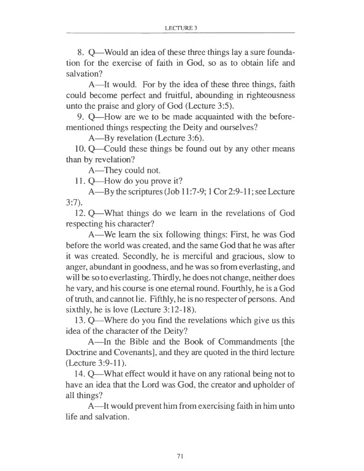8. Q—Would an idea of these three things lay a sure foundation for the exercise of faith in God, so as to obtain life and salvation?

A—It would. For by the idea of these three things, faith could become perfect and fruitful, abounding in righteousness unto the praise and glory of God (Lecture 3:5).

9. Q—How are we to be made acquainted with the beforementioned things respecting the Deity and ourselves?

A—By revelation (Lecture 3:6).

10. Q—Could these things be found out by any other means than by revelation?

A—They could not.

11. Q—How do you prove it?

A—By the scriptures (Job 11:7-9; <sup>1</sup> Cor 2:9-11; see Lecture 3:7).

12. Q—What things do we learn in the revelations of God respecting his character?

A—We learn the six following things: First, he was God before the world was created, and the same God that he was after it was created. Secondly, he is merciful and gracious, slow to anger, abundant in goodness, and he was so from everlasting, and will be so to everlasting. Thirdly, he does not change, neither does he vary, and his course is one eternal round. Fourthly, he is a God of truth, and cannot lie. Fifthly, he is no respecter of persons. And sixthly, he is love (Lecture 3:12-18).

13. Q—Where do you find the revelations which give us this idea of the character of the Deity?

A—In the Bible and the Book of Commandments [the Doctrine and Covenants], and they are quoted in the third lecture (Lecture 3:9-11).

14. Q—What effect would it have on any rational being not to have an idea that the Lord was God, the creator and upholder of all things?

A—It would prevent him from exercising faith in him unto life and salvation.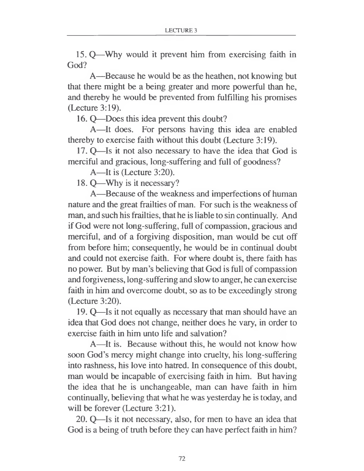15. Q—Why would it prevent him from exercising faith in God?

A—Because he would be as the heathen, not knowing but that there might be a being greater and more powerful than he, and thereby he would be prevented from fulfilling his promises (Lecture 3:19).

16. Q—Does this idea prevent this doubt?

A—It does. For persons having this idea are enabled thereby to exercise faith without this doubt (Lecture 3:19).

17. Q—Is it not also necessary to have the idea that God is merciful and gracious, long-suffering and full of goodness?

A—It is (Lecture 3:20).

18. Q—Why is it necessary?

A—Because of the weakness and imperfections of human nature and the great frailties of man. For such is the weakness of man, and such his frailties, that he is liable to sin continually. And if God were not long-suffering, full of compassion, gracious and merciful, and of a forgiving disposition, man would be cut off from before him; consequently, he would be in continual doubt and could not exercise faith. For where doubt is, there faith has no power. But by man's believing that God is full of compassion and forgiveness, long-suffering and slow to anger, he can exercise faith in him and overcome doubt, so as to be exceedingly strong (Lecture 3:20).

19. Q—Is it not equally as necessary that man should have an idea that God does not change, neither does he vary, in order to exercise faith in him unto life and salvation?

A—It is. Because without this, he would not know how soon God's mercy might change into cruelty, his long-suffering into rashness, his love into hatred. In consequence of this doubt, man would be incapable of exercising faith in him. But having the idea that he is unchangeable, man can have faith in him continually, believing that what he was yesterday he is today, and will be forever (Lecture 3:21).

20. Q—Is it not necessary, also, for men to have an idea that God is a being of truth before they can have perfect faith in him?